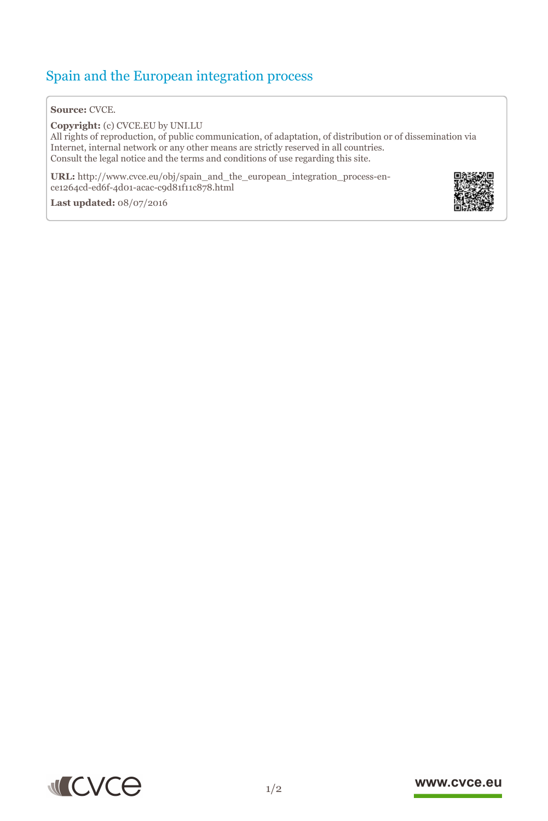## Spain and the European integration process

## **Source:** CVCE.

**Copyright:** (c) CVCE.EU by UNI.LU All rights of reproduction, of public communication, of adaptation, of distribution or of dissemination via Internet, internal network or any other means are strictly reserved in all countries. Consult the legal notice and the terms and conditions of use regarding this site.

**URL:** http://www.cvce.eu/obj/spain\_and\_the\_european\_integration\_process-ence1264cd-[ed6f-4d01-acac-c9d81f11c878.html](http://www.cvce.eu/obj/spain_and_the_european_integration_process-en-ce1264cd-ed6f-4d01-acac-c9d81f11c878.html)

**Las[t updated:](http://www.cvce.eu/obj/spain_and_the_european_integration_process-en-ce1264cd-ed6f-4d01-acac-c9d81f11c878.html)** 08/07/2016





## www.cvce.eu